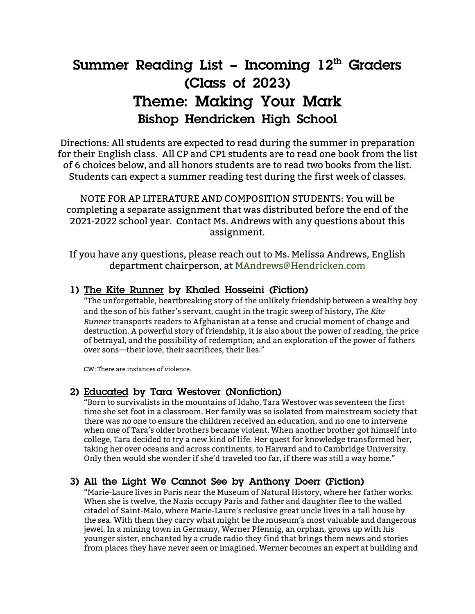# **Summer Reading List – Incoming 12th Graders (Class of 2023) Theme: Making Your Mark Bishop Hendricken High School**

Directions: All students are expected to read during the summer in preparation for their English class. All CP and CP1 students are to read one book from the list of 6 choices below, and all honors students are to read two books from the list. Students can expect a summer reading test during the first week of classes.

NOTE FOR AP LITERATURE AND COMPOSITION STUDENTS: You will be completing a separate assignment that was distributed before the end of the 2021-2022 school year. Contact Ms. Andrews with any questions about this assignment.

If you have any questions, please reach out to Ms. Melissa Andrews, English department chairperson, at MAndrews@Hendricken.com

#### **1) The Kite Runner by Khaled Hosseini (Fiction)**

"The unforgettable, heartbreaking story of the unlikely friendship between a wealthy boy and the son of his father's servant, caught in the tragic sweep of history, *The Kite Runner* transports readers to Afghanistan at a tense and crucial moment of change and destruction. A powerful story of friendship, it is also about the power of reading, the price of betrayal, and the possibility of redemption; and an exploration of the power of fathers over sons—their love, their sacrifices, their lies."

CW: There are instances of violence.

#### **2) Educated by Tara Westover (Nonfiction)**

"Born to survivalists in the mountains of Idaho, Tara Westover was seventeen the first time she set foot in a classroom. Her family was so isolated from mainstream society that there was no one to ensure the children received an education, and no one to intervene when one of Tara's older brothers became violent. When another brother got himself into college, Tara decided to try a new kind of life. Her quest for knowledge transformed her, taking her over oceans and across continents, to Harvard and to Cambridge University. Only then would she wonder if she'd traveled too far, if there was still a way home."

#### **3) All the Light We Cannot See by Anthony Doerr (Fiction)**

"Marie-Laure lives in Paris near the Museum of Natural History, where her father works. When she is twelve, the Nazis occupy Paris and father and daughter flee to the walled citadel of Saint-Malo, where Marie-Laure's reclusive great uncle lives in a tall house by the sea. With them they carry what might be the museum's most valuable and dangerous jewel. In a mining town in Germany, Werner Pfennig, an orphan, grows up with his younger sister, enchanted by a crude radio they find that brings them news and stories from places they have never seen or imagined. Werner becomes an expert at building and